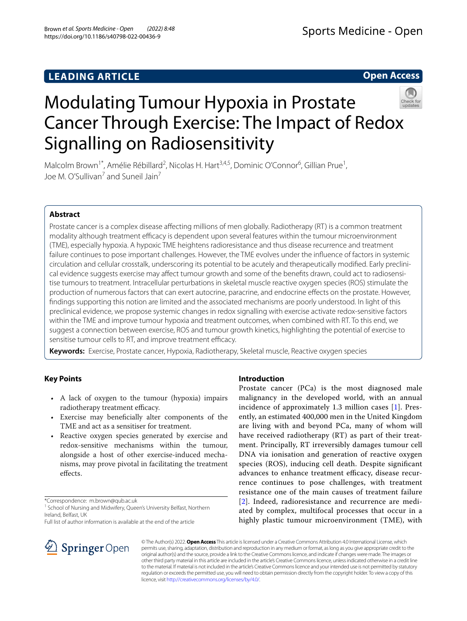## **LEADING ARTICLE**

**Open Access**



# Modulating Tumour Hypoxia in Prostate Cancer Through Exercise: The Impact of Redox Signalling on Radiosensitivity

Malcolm Brown<sup>1\*</sup>, Amélie Rébillard<sup>2</sup>, Nicolas H. Hart<sup>3,4,5</sup>, Dominic O'Connor<sup>6</sup>, Gillian Prue<sup>1</sup>, Joe M. O'Sullivan<sup>7</sup> and Suneil Jain<sup>7</sup>

## **Abstract**

Prostate cancer is a complex disease afecting millions of men globally. Radiotherapy (RT) is a common treatment modality although treatment efficacy is dependent upon several features within the tumour microenvironment (TME), especially hypoxia. A hypoxic TME heightens radioresistance and thus disease recurrence and treatment failure continues to pose important challenges. However, the TME evolves under the infuence of factors in systemic circulation and cellular crosstalk, underscoring its potential to be acutely and therapeutically modifed. Early preclinical evidence suggests exercise may afect tumour growth and some of the benefts drawn, could act to radiosensitise tumours to treatment. Intracellular perturbations in skeletal muscle reactive oxygen species (ROS) stimulate the production of numerous factors that can exert autocrine, paracrine, and endocrine efects on the prostate. However, fndings supporting this notion are limited and the associated mechanisms are poorly understood. In light of this preclinical evidence, we propose systemic changes in redox signalling with exercise activate redox-sensitive factors within the TME and improve tumour hypoxia and treatment outcomes, when combined with RT. To this end, we suggest a connection between exercise, ROS and tumour growth kinetics, highlighting the potential of exercise to sensitise tumour cells to RT, and improve treatment efficacy.

**Keywords:** Exercise, Prostate cancer, Hypoxia, Radiotherapy, Skeletal muscle, Reactive oxygen species

## **Key Points**

- A lack of oxygen to the tumour (hypoxia) impairs radiotherapy treatment efficacy.
- Exercise may benefcially alter components of the TME and act as a sensitiser for treatment.
- Reactive oxygen species generated by exercise and redox-sensitive mechanisms within the tumour, alongside a host of other exercise-induced mechanisms, may prove pivotal in facilitating the treatment efects.

\*Correspondence: m.brown@qub.ac.uk

<sup>1</sup> School of Nursing and Midwifery, Queen's University Belfast, Northern Ireland, Belfast, UK

Full list of author information is available at the end of the article

## **Introduction**

Prostate cancer (PCa) is the most diagnosed male malignancy in the developed world, with an annual incidence of approximately 1.3 million cases [\[1\]](#page-4-0). Presently, an estimated 400,000 men in the United Kingdom are living with and beyond PCa, many of whom will have received radiotherapy (RT) as part of their treatment. Principally, RT irreversibly damages tumour cell DNA via ionisation and generation of reactive oxygen species (ROS), inducing cell death. Despite signifcant advances to enhance treatment efficacy, disease recurrence continues to pose challenges, with treatment resistance one of the main causes of treatment failure [[2](#page-4-1)]. Indeed, radioresistance and recurrence are mediated by complex, multifocal processes that occur in a highly plastic tumour microenvironment (TME), with



© The Author(s) 2022. **Open Access** This article is licensed under a Creative Commons Attribution 4.0 International License, which permits use, sharing, adaptation, distribution and reproduction in any medium or format, as long as you give appropriate credit to the original author(s) and the source, provide a link to the Creative Commons licence, and indicate if changes were made. The images or other third party material in this article are included in the article's Creative Commons licence, unless indicated otherwise in a credit line to the material. If material is not included in the article's Creative Commons licence and your intended use is not permitted by statutory regulation or exceeds the permitted use, you will need to obtain permission directly from the copyright holder. To view a copy of this licence, visit [http://creativecommons.org/licenses/by/4.0/.](http://creativecommons.org/licenses/by/4.0/)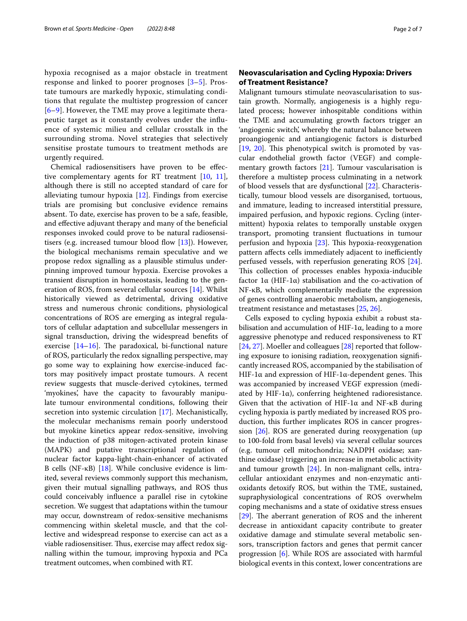hypoxia recognised as a major obstacle in treatment response and linked to poorer prognoses [\[3](#page-4-2)[–5](#page-4-3)]. Prostate tumours are markedly hypoxic, stimulating conditions that regulate the multistep progression of cancer [[6](#page-4-4)[–9](#page-4-5)]. However, the TME may prove a legitimate therapeutic target as it constantly evolves under the infuence of systemic milieu and cellular crosstalk in the surrounding stroma. Novel strategies that selectively sensitise prostate tumours to treatment methods are urgently required.

Chemical radiosensitisers have proven to be efective complementary agents for RT treatment [\[10](#page-4-6), [11](#page-4-7)], although there is still no accepted standard of care for alleviating tumour hypoxia [\[12](#page-4-8)]. Findings from exercise trials are promising but conclusive evidence remains absent. To date, exercise has proven to be a safe, feasible, and efective adjuvant therapy and many of the benefcial responses invoked could prove to be natural radiosensi-tisers (e.g. increased tumour blood flow [\[13](#page-4-9)]). However, the biological mechanisms remain speculative and we propose redox signalling as a plausible stimulus underpinning improved tumour hypoxia. Exercise provokes a transient disruption in homeostasis, leading to the generation of ROS, from several cellular sources [\[14\]](#page-5-0). Whilst historically viewed as detrimental, driving oxidative stress and numerous chronic conditions, physiological concentrations of ROS are emerging as integral regulators of cellular adaptation and subcellular messengers in signal transduction, driving the widespread benefts of exercise  $[14–16]$  $[14–16]$  $[14–16]$ . The paradoxical, bi-functional nature of ROS, particularly the redox signalling perspective, may go some way to explaining how exercise-induced factors may positively impact prostate tumours. A recent review suggests that muscle-derived cytokines, termed 'myokines', have the capacity to favourably manipulate tumour environmental conditions, following their secretion into systemic circulation [[17\]](#page-5-2). Mechanistically, the molecular mechanisms remain poorly understood but myokine kinetics appear redox-sensitive, involving the induction of p38 mitogen-activated protein kinase (MAPK) and putative transcriptional regulation of nuclear factor kappa-light-chain-enhancer of activated B cells (NF-κB) [[18\]](#page-5-3). While conclusive evidence is limited, several reviews commonly support this mechanism, given their mutual signalling pathways, and ROS thus could conceivably infuence a parallel rise in cytokine secretion. We suggest that adaptations within the tumour may occur, downstream of redox-sensitive mechanisms commencing within skeletal muscle, and that the collective and widespread response to exercise can act as a viable radiosensitiser. Thus, exercise may affect redox signalling within the tumour, improving hypoxia and PCa treatment outcomes, when combined with RT.

## **Neovascularisation and Cycling Hypoxia: Drivers of Treatment Resistance?**

Malignant tumours stimulate neovascularisation to sustain growth. Normally, angiogenesis is a highly regulated process; however inhospitable conditions within the TME and accumulating growth factors trigger an 'angiogenic switch', whereby the natural balance between proangiogenic and antiangiogenic factors is disturbed  $[19, 20]$  $[19, 20]$  $[19, 20]$  $[19, 20]$ . This phenotypical switch is promoted by vascular endothelial growth factor (VEGF) and complementary growth factors [[21\]](#page-5-6). Tumour vascularisation is therefore a multistep process culminating in a network of blood vessels that are dysfunctional [\[22](#page-5-7)]. Characteristically, tumour blood vessels are disorganised, tortuous, and immature, leading to increased interstitial pressure, impaired perfusion, and hypoxic regions. Cycling (intermittent) hypoxia relates to temporally unstable oxygen transport, promoting transient fuctuations in tumour perfusion and hypoxia [\[23\]](#page-5-8). This hypoxia-reoxygenation pattern affects cells immediately adjacent to inefficiently perfused vessels, with reperfusion generating ROS [\[24](#page-5-9)]. This collection of processes enables hypoxia-inducible factor 1α (HIF-1α) stabilisation and the co-activation of NF-κB, which complementarily mediate the expression of genes controlling anaerobic metabolism, angiogenesis, treatment resistance and metastases [[25,](#page-5-10) [26\]](#page-5-11).

Cells exposed to cycling hypoxia exhibit a robust stabilisation and accumulation of HIF-1 $\alpha$ , leading to a more aggressive phenotype and reduced responsiveness to RT [[24,](#page-5-9) [27\]](#page-5-12). Moeller and colleagues [\[28](#page-5-13)] reported that following exposure to ionising radiation, reoxygenation signifcantly increased ROS, accompanied by the stabilisation of HIF-1α and expression of HIF-1α-dependent genes. This was accompanied by increased VEGF expression (mediated by HIF-1 $\alpha$ ), conferring heightened radioresistance. Given that the activation of HIF-1α and NF-κB during cycling hypoxia is partly mediated by increased ROS production, this further implicates ROS in cancer progression [[26\]](#page-5-11). ROS are generated during reoxygenation (up to 100-fold from basal levels) via several cellular sources (e.g. tumour cell mitochondria; NADPH oxidase; xanthine oxidase) triggering an increase in metabolic activity and tumour growth [[24\]](#page-5-9). In non-malignant cells, intracellular antioxidant enzymes and non-enzymatic antioxidants detoxify ROS, but within the TME, sustained, supraphysiological concentrations of ROS overwhelm coping mechanisms and a state of oxidative stress ensues [[29\]](#page-5-14). The aberrant generation of ROS and the inherent decrease in antioxidant capacity contribute to greater oxidative damage and stimulate several metabolic sensors, transcription factors and genes that permit cancer progression [\[6](#page-4-4)]. While ROS are associated with harmful biological events in this context, lower concentrations are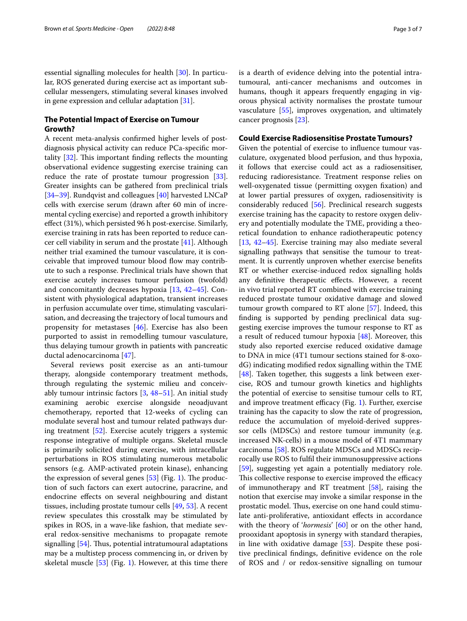essential signalling molecules for health [[30](#page-5-15)]. In particular, ROS generated during exercise act as important subcellular messengers, stimulating several kinases involved in gene expression and cellular adaptation [\[31\]](#page-5-16).

## **The Potential Impact of Exercise on Tumour Growth?**

A recent meta-analysis confrmed higher levels of postdiagnosis physical activity can reduce PCa-specifc mortality  $[32]$  $[32]$ . This important finding reflects the mounting observational evidence suggesting exercise training can reduce the rate of prostate tumour progression [\[33](#page-5-18)]. Greater insights can be gathered from preclinical trials [[34–](#page-5-19)[39](#page-5-20)]. Rundqvist and colleagues [[40\]](#page-5-21) harvested LNCaP cells with exercise serum (drawn after 60 min of incremental cycling exercise) and reported a growth inhibitory efect (31%), which persisted 96 h post-exercise. Similarly, exercise training in rats has been reported to reduce cancer cell viability in serum and the prostate [\[41\]](#page-5-22). Although neither trial examined the tumour vasculature, it is conceivable that improved tumour blood flow may contribute to such a response. Preclinical trials have shown that exercise acutely increases tumour perfusion (twofold) and concomitantly decreases hypoxia [\[13](#page-4-9), [42–](#page-5-23)[45\]](#page-5-24). Consistent with physiological adaptation, transient increases in perfusion accumulate over time, stimulating vascularisation, and decreasing the trajectory of local tumours and propensity for metastases [\[46](#page-5-25)]. Exercise has also been purported to assist in remodelling tumour vasculature, thus delaying tumour growth in patients with pancreatic ductal adenocarcinoma [[47\]](#page-5-26).

Several reviews posit exercise as an anti-tumour therapy, alongside contemporary treatment methods, through regulating the systemic milieu and conceivably tumour intrinsic factors [[3,](#page-4-2) [48–](#page-5-27)[51\]](#page-5-28). An initial study examining aerobic exercise alongside neoadjuvant chemotherapy, reported that 12-weeks of cycling can modulate several host and tumour related pathways during treatment [\[52](#page-5-29)]. Exercise acutely triggers a systemic response integrative of multiple organs. Skeletal muscle is primarily solicited during exercise, with intracellular perturbations in ROS stimulating numerous metabolic sensors (e.g. AMP-activated protein kinase), enhancing the expression of several genes  $[53]$  $[53]$  (Fig. [1](#page-3-0)). The production of such factors can exert autocrine, paracrine, and endocrine efects on several neighbouring and distant tissues, including prostate tumour cells [[49,](#page-5-31) [53](#page-5-30)]. A recent review speculates this crosstalk may be stimulated by spikes in ROS, in a wave-like fashion, that mediate several redox-sensitive mechanisms to propagate remote signalling [\[54](#page-5-32)]. Thus, potential intratumoural adaptations may be a multistep process commencing in, or driven by skeletal muscle [[53](#page-5-30)] (Fig. [1\)](#page-3-0). However, at this time there is a dearth of evidence delving into the potential intratumoural, anti-cancer mechanisms and outcomes in humans, though it appears frequently engaging in vigorous physical activity normalises the prostate tumour vasculature [\[55\]](#page-6-0), improves oxygenation, and ultimately cancer prognosis [\[23](#page-5-8)].

## **Could Exercise Radiosensitise Prostate Tumours?**

Given the potential of exercise to infuence tumour vasculature, oxygenated blood perfusion, and thus hypoxia, it follows that exercise could act as a radiosensitiser, reducing radioresistance. Treatment response relies on well-oxygenated tissue (permitting oxygen fxation) and at lower partial pressures of oxygen, radiosensitivity is considerably reduced [\[56](#page-6-1)]. Preclinical research suggests exercise training has the capacity to restore oxygen delivery and potentially modulate the TME, providing a theoretical foundation to enhance radiotherapeutic potency [[13,](#page-4-9) [42–](#page-5-23)[45](#page-5-24)]. Exercise training may also mediate several signalling pathways that sensitise the tumour to treatment. It is currently unproven whether exercise benefts RT or whether exercise-induced redox signalling holds any definitive therapeutic effects. However, a recent in vivo trial reported RT combined with exercise training reduced prostate tumour oxidative damage and slowed tumour growth compared to RT alone [\[57\]](#page-6-2). Indeed, this fnding is supported by pending preclinical data suggesting exercise improves the tumour response to RT as a result of reduced tumour hypoxia [[48\]](#page-5-27). Moreover, this study also reported exercise reduced oxidative damage to DNA in mice (4T1 tumour sections stained for 8-oxodG) indicating modifed redox signalling within the TME [[48\]](#page-5-27). Taken together, this suggests a link between exercise, ROS and tumour growth kinetics and highlights the potential of exercise to sensitise tumour cells to RT, and improve treatment efficacy (Fig. [1](#page-3-0)). Further, exercise training has the capacity to slow the rate of progression, reduce the accumulation of myeloid-derived suppressor cells (MDSCs) and restore tumour immunity (e.g. increased NK-cells) in a mouse model of 4T1 mammary carcinoma [\[58](#page-6-3)]. ROS regulate MDSCs and MDSCs reciprocally use ROS to fulfl their immunosuppressive actions [[59\]](#page-6-4), suggesting yet again a potentially mediatory role. This collective response to exercise improved the efficacy of immunotherapy and RT treatment [\[58](#page-6-3)], raising the notion that exercise may invoke a similar response in the prostatic model. Thus, exercise on one hand could stimulate anti-proliferative, antioxidant efects in accordance with the theory of '*hormesis*' [\[60](#page-6-5)] or on the other hand, prooxidant apoptosis in synergy with standard therapies, in line with oxidative damage [\[53\]](#page-5-30). Despite these positive preclinical fndings, defnitive evidence on the role of ROS and / or redox-sensitive signalling on tumour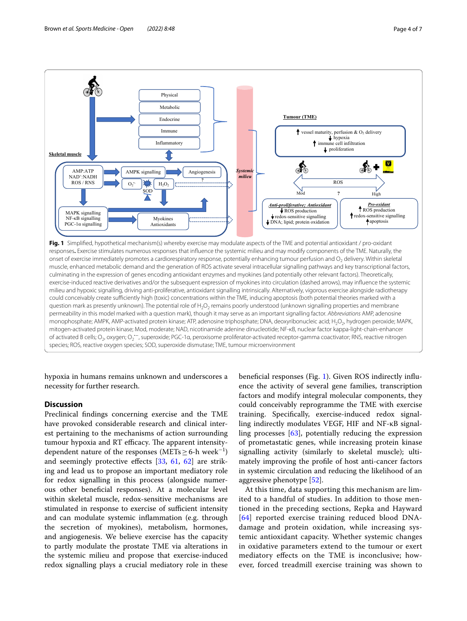

<span id="page-3-0"></span>onset of exercise immediately promotes a cardiorespiratory response, potentially enhancing tumour perfusion and O<sub>2</sub> delivery. Within skeletal muscle, enhanced metabolic demand and the generation of ROS activate several intracellular signalling pathways and key transcriptional factors, culminating in the expression of genes encoding antioxidant enzymes and myokines (and potentially other relevant factors). Theoretically, exercise-induced reactive derivatives and/or the subsequent expression of myokines into circulation (dashed arrows), may infuence the systemic milieu and hypoxic signalling, driving anti-proliferative, antioxidant signalling intrinsically. Alternatively, vigorous exercise alongside radiotherapy could conceivably create sufciently high (toxic) concentrations within the TME, inducing apoptosis (both potential theories marked with a question mark as presently unknown). The potential role of H<sub>2</sub>O<sub>2</sub> remains poorly understood (unknown signalling properties and membrane permeability in this model marked with a question mark), though it may serve as an important signalling factor. *Abbreviations* AMP, adenosine monophosphate; AMPK, AMP-activated protein kinase; ATP, adenosine triphosphate; DNA, deoxyribonucleic acid; H<sub>2</sub>O<sub>2</sub>, hydrogen peroxide; MAPK, mitogen-activated protein kinase; Mod, moderate; NAD, nicotinamide adenine dinucleotide; NF-κB, nuclear factor kappa-light-chain-enhancer of activated B cells; O<sub>2</sub>, oxygen; O<sub>2</sub><sup>--</sup>, superoxide; PGC-1a, peroxisome proliferator-activated receptor-gamma coactivator; RNS, reactive nitrogen species; ROS, reactive oxygen species; SOD, superoxide dismutase; TME, tumour microenvironment

hypoxia in humans remains unknown and underscores a necessity for further research.

## **Discussion**

Preclinical fndings concerning exercise and the TME have provoked considerable research and clinical interest pertaining to the mechanisms of action surrounding tumour hypoxia and RT efficacy. The apparent intensitydependent nature of the responses (METs $\geq$  6-h week<sup>-1</sup>) and seemingly protective effects [\[33](#page-5-18), [61,](#page-6-6) [62](#page-6-7)] are striking and lead us to propose an important mediatory role for redox signalling in this process (alongside numerous other benefcial responses). At a molecular level within skeletal muscle, redox-sensitive mechanisms are stimulated in response to exercise of sufficient intensity and can modulate systemic infammation (e.g. through the secretion of myokines), metabolism, hormones, and angiogenesis. We believe exercise has the capacity to partly modulate the prostate TME via alterations in the systemic milieu and propose that exercise-induced redox signalling plays a crucial mediatory role in these

beneficial responses (Fig. [1](#page-3-0)). Given ROS indirectly influence the activity of several gene families, transcription factors and modify integral molecular components, they could conceivably reprogramme the TME with exercise training. Specifcally, exercise-induced redox signalling indirectly modulates VEGF, HIF and NF-κB signalling processes [[63](#page-6-8)], potentially reducing the expression of prometastatic genes, while increasing protein kinase signalling activity (similarly to skeletal muscle); ultimately improving the profle of host anti-cancer factors in systemic circulation and reducing the likelihood of an aggressive phenotype [\[52](#page-5-29)].

At this time, data supporting this mechanism are limited to a handful of studies. In addition to those mentioned in the preceding sections, Repka and Hayward [[64](#page-6-9)] reported exercise training reduced blood DNAdamage and protein oxidation, while increasing systemic antioxidant capacity. Whether systemic changes in oxidative parameters extend to the tumour or exert mediatory efects on the TME is inconclusive; however, forced treadmill exercise training was shown to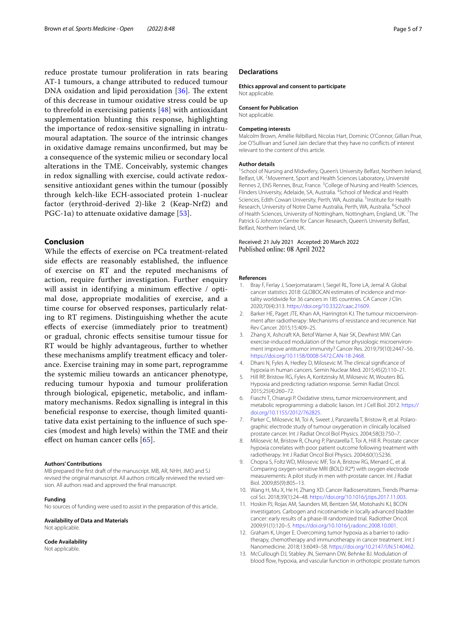reduce prostate tumour proliferation in rats bearing AT-1 tumours, a change attributed to reduced tumour DNA oxidation and lipid peroxidation  $[36]$  $[36]$ . The extent of this decrease in tumour oxidative stress could be up to threefold in exercising patients [[48](#page-5-27)] with antioxidant supplementation blunting this response, highlighting the importance of redox-sensitive signalling in intratumoural adaptation. The source of the intrinsic changes in oxidative damage remains unconfrmed, but may be a consequence of the systemic milieu or secondary local alterations in the TME. Conceivably, systemic changes in redox signalling with exercise, could activate redoxsensitive antioxidant genes within the tumour (possibly through kelch-like ECH-associated protein 1-nuclear factor (erythroid-derived 2)-like 2 (Keap-Nrf2) and PGC-1 $\alpha$ ) to attenuate oxidative damage [[53\]](#page-5-30).

### **Conclusion**

While the efects of exercise on PCa treatment-related side efects are reasonably established, the infuence of exercise on RT and the reputed mechanisms of action, require further investigation. Further enquiry will assist in identifying a minimum efective / optimal dose, appropriate modalities of exercise, and a time course for observed responses, particularly relating to RT regimens. Distinguishing whether the acute efects of exercise (immediately prior to treatment) or gradual, chronic efects sensitise tumour tissue for RT would be highly advantageous, further to whether these mechanisms amplify treatment efficacy and tolerance. Exercise training may in some part, reprogramme the systemic milieu towards an anticancer phenotype, reducing tumour hypoxia and tumour proliferation through biological, epigenetic, metabolic, and infammatory mechanisms. Redox signalling is integral in this benefcial response to exercise, though limited quantitative data exist pertaining to the infuence of such species (modest and high levels) within the TME and their efect on human cancer cells [[65](#page-6-10)].

#### **Authors' Contributions**

MB prepared the frst draft of the manuscript. MB, AR, NHH, JMO and SJ revised the original manuscript. All authors critically reviewed the revised version. All authors read and approved the fnal manuscript.

#### **Funding**

No sources of funding were used to assist in the preparation of this article..

**Availability of Data and Materials** Not applicable.

## **Code Availability**

Not applicable.

#### **Declarations**

**Ethics approval and consent to participate** Not applicable.

#### **Consent for Publication**

Not applicable.

#### **Competing interests**

Malcolm Brown, Amélie Rébillard, Nicolas Hart, Dominic O'Connor, Gillian Prue, Joe O'Sullivan and Suneil Jain declare that they have no conficts of interest relevant to the content of this article.

#### **Author details**

<sup>1</sup> School of Nursing and Midwifery, Queen's University Belfast, Northern Ireland, Belfast, UK.<sup>2</sup> Movement, Sport and Health Sciences Laboratory, Université Rennes 2, ENS Rennes, Bruz, France. <sup>3</sup>College of Nursing and Health Sciences, Flinders University, Adelaide, SA, Australia. <sup>4</sup>School of Medical and Health Sciences, Edith Cowan University, Perth, WA, Australia. <sup>5</sup>Institute for Health Research, University of Notre Dame Australia, Perth, WA, Australia. <sup>6</sup>School of Health Sciences, University of Nottingham, Nottingham, England, UK.<sup>7</sup>The Patrick G Johnston Centre for Cancer Research, Queen's University Belfast, Belfast, Northern Ireland, UK.

#### Received: 21 July 2021 Accepted: 20 March 2022 Published online: 08 April 2022

#### **References**

- <span id="page-4-0"></span>1. Bray F, Ferlay J, Soerjomataram I, Siegel RL, Torre LA, Jemal A. Global cancer statistics 2018: GLOBOCAN estimates of incidence and mortality worldwide for 36 cancers in 185 countries. CA Cancer J Clin. 2020;70(4):313. [https://doi.org/10.3322/caac.21609.](https://doi.org/10.3322/caac.21609)
- <span id="page-4-1"></span>2. Barker HE, Paget JTE, Khan AA, Harrington KJ. The tumour microenvironment after radiotherapy: Mechanisms of resistance and recurrence. Nat Rev Cancer. 2015;15:409–25.
- <span id="page-4-2"></span>3. Zhang X, Ashcraft KA, Betof Warner A, Nair SK, Dewhirst MW. Can exercise-induced modulation of the tumor physiologic microenvironment improve antitumor immunity? Cancer Res. 2019;79(10):2447–56. <https://doi.org/10.1158/0008-5472.CAN-18-2468>.
- 4. Dhani N, Fyles A, Hedley D, Milosevic M. The clinical signifcance of hypoxia in human cancers. Semin Nuclear Med. 2015;45(2):110–21.
- <span id="page-4-3"></span>5. Hill RP, Bristow RG, Fyles A, Koritzinsky M, Milosevic M, Wouters BG. Hypoxia and predicting radiation response. Semin Radiat Oncol. 2015;25(4):260–72.
- <span id="page-4-4"></span>6. Fiaschi T, Chiarugi P. Oxidative stress, tumor microenvironment, and metabolic reprogramming: a diabolic liaison. Int J Cell Biol. 2012. [https://](https://doi.org/10.1155/2012/762825) [doi.org/10.1155/2012/762825.](https://doi.org/10.1155/2012/762825)
- 7. Parker C, Milosevic M, Toi A, Sweet J, Panzarella T, Bristow R, et al. Polarographic electrode study of tumour oxygenation in clinically localised prostate cancer. Int J Radiat Oncol Biol Physics. 2004;58(3):750–7.
- 8. Milosevic M, Bristow R, Chung P, Panzarella T, Toi A, Hill R. Prostate cancer hypoxia correlates with poor patient outcome following treatment with radiotherapy. Int J Radiat Oncol Biol Physics. 2004;60(1):S236.
- <span id="page-4-5"></span>9. Chopra S, Foltz WD, Milosevic MF, Toi A, Bristow RG, Menard C, et al. Comparing oxygen-sensitive MRI (BOLD R2\*) with oxygen electrode measurements: A pilot study in men with prostate cancer. Int J Radiat Biol. 2009;85(9):805–13.
- <span id="page-4-6"></span>10. Wang H, Mu X, He H, Zhang XD. Cancer Radiosensitizers. Trends Pharmacol Sci. 2018;39(1):24–48.<https://doi.org/10.1016/j.tips.2017.11.003>.
- <span id="page-4-7"></span>11. Hoskin PJ, Rojas AM, Saunders MI, Bentzen SM, Motohashi KJ, BCON investigators. Carbogen and nicotinamide in locally advanced bladder cancer: early results of a phase-III randomized trial. Radiother Oncol. 2009;91(1):120–5. [https://doi.org/10.1016/j.radonc.2008.10.001.](https://doi.org/10.1016/j.radonc.2008.10.001)
- <span id="page-4-8"></span>12. Graham K, Unger E. Overcoming tumor hypoxia as a barrier to radiotherapy, chemotherapy and immunotherapy in cancer treatment. Int J Nanomedicine. 2018;13:6049–58. [https://doi.org/10.2147/IJN.S140462.](https://doi.org/10.2147/IJN.S140462)
- <span id="page-4-9"></span>13. McCullough DJ, Stabley JN, Siemann DW, Behnke BJ. Modulation of blood flow, hypoxia, and vascular function in orthotopic prostate tumors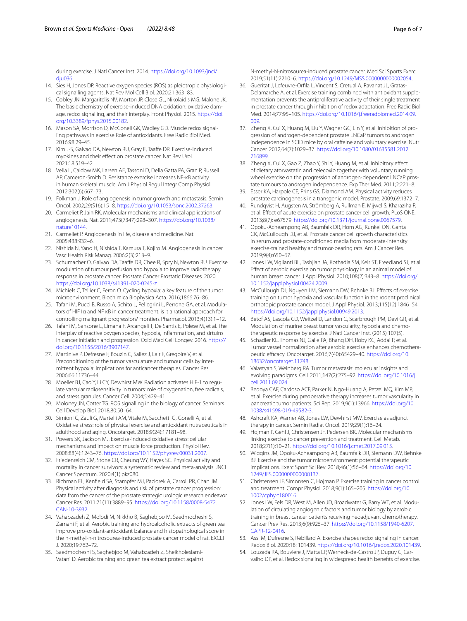during exercise. J Natl Cancer Inst. 2014. [https://doi.org/10.1093/jnci/](https://doi.org/10.1093/jnci/dju036) diu036

- <span id="page-5-0"></span>14. Sies H, Jones DP. Reactive oxygen species (ROS) as pleiotropic physiological signalling agents. Nat Rev Mol Cell Biol. 2020;21:363–83.
- 15. Cobley JN, Margaritelis NV, Morton JP, Close GL, Nikolaidis MG, Malone JK. The basic chemistry of exercise-induced DNA oxidation: oxidative damage, redox signalling, and their interplay. Front Physiol. 2015. [https://doi.](https://doi.org/10.3389/fphys.2015.00182) [org/10.3389/fphys.2015.00182](https://doi.org/10.3389/fphys.2015.00182).
- <span id="page-5-1"></span>16. Mason SA, Morrison D, McConell GK, Wadley GD. Muscle redox signalling pathways in exercise Role of antioxidants. Free Radic Biol Med. 2016;98:29–45.
- <span id="page-5-2"></span>17. Kim J-S, Galvao DA, Newton RU, Gray E, Taafe DR. Exercise-induced myokines and their efect on prostate cancer. Nat Rev Urol. 2021;18:519–42.
- <span id="page-5-3"></span>18. Vella L, Caldow MK, Larsen AE, Tassoni D, Della Gatta PA, Gran P, Russell AP, Cameron-Smith D. Resistance exercise increases NF-κB activity in human skeletal muscle. Am J Physiol Regul Integr Comp Physiol. 2012;302(6):667–73.
- <span id="page-5-4"></span>19. Folkman J. Role of angiogenesis in tumor growth and metastasis. Semin Oncol. 2002;29(S16):15–8. <https://doi.org/10.1053/sonc.2002.37263>.
- <span id="page-5-5"></span>20. Carmeliet P, Jain RK. Molecular mechanisms and clinical applications of angiogenesis. Nat. 2011;473(7347):298–307. [https://doi.org/10.1038/](https://doi.org/10.1038/nature10144) [nature10144](https://doi.org/10.1038/nature10144).
- <span id="page-5-6"></span>21. Carmeliet P. Angiogenesis in life, disease and medicine. Nat. 2005;438:932–6.
- <span id="page-5-7"></span>22. Nishida N, Yano H, Nishida T, Kamura T, Kojiro M. Angiogenesis in cancer. Vasc Health Risk Manag. 2006;2(3):213–9.
- <span id="page-5-8"></span>23. Schumacher O, Galvao DA, Taafe DR, Chee R, Spry N, Newton RU. Exercise modulation of tumour perfusion and hypoxia to improve radiotherapy response in prostate cancer. Prostate Cancer Prostatic Diseases. 2020. [https://doi.org/10.1038/s41391-020-0245-z.](https://doi.org/10.1038/s41391-020-0245-z)
- <span id="page-5-9"></span>24. Michiels C, Tellier C, Feron O. Cycling hypoxia: a key feature of the tumor microenvironment. Biochimica Biophysica Acta. 2016;1866:76–86.
- <span id="page-5-10"></span>25. Tafani M, Pucci B, Russo A, Schito L, Pellegrini L, Perrone GA, et al. Modulators of HIF1α and NF κB in cancer treatment: is it a rational approach for controlling malignant progression? Frontiers Pharmacol. 2013;4(13):1–12.
- <span id="page-5-11"></span>26. Tafani M, Sansone L, Limana F, Arcangeli T, De Santis E, Polese M, et al. The interplay of reactive oxygen species, hypoxia, infammation, and sirtuins in cancer initiation and progression. Oxid Med Cell Longev. 2016. [https://](https://doi.org/10.1155/2016/3907147) [doi.org/10.1155/2016/3907147](https://doi.org/10.1155/2016/3907147).
- <span id="page-5-12"></span>27. Martinive P, Defresne F, Bouzin C, Saliez J, Lair F, Gregoire V, et al. Preconditioning of the tumor vasculature and tumour cells by intermittent hypoxia: implications for anticancer therapies. Cancer Res. 2006;66:11736–44.
- <span id="page-5-13"></span>28. Moeller BJ, Cao Y, Li CY, Dewhirst MW. Radiation activates HIF-1 to regulate vascular radiosensitivity in tumors: role of oxygenation, free radicals, and stress granules. Cancer Cell. 2004;5:429–41.
- <span id="page-5-14"></span>29. Moloney JN, Cotter TG. ROS signalling in the biology of cancer. Seminars Cell Develop Biol. 2018;80:50–64.
- <span id="page-5-15"></span>30. Simioni C, Zauli G, Martelli AM, Vitale M, Sacchetti G, Gonelli A, et al. Oxidative stress: role of physical exercise and antioxidant nutraceuticals in adulthood and aging. Oncotarget. 2018;9(24):17181–98.
- <span id="page-5-16"></span>31. Powers SK, Jackson MJ. Exercise-induced oxidative stress: cellular mechanisms and impact on muscle force production. Physiol Rev. 2008;88(4):1243–76. <https://doi.org/10.1152/physrev.00031.2007>.
- <span id="page-5-17"></span>32. Friedenreich CM, Stone CR, Cheung WY, Hayes SC. Physical activity and mortality in cancer survivors: a systematic review and meta-analysis. JNCI Cancer Spectrum. 2020;4(1):pkz080.
- <span id="page-5-18"></span>33. Richman EL, Kenfeld SA, Stampfer MJ, Paciorek A, Carroll PR, Chan JM. Physical activity after diagnosis and risk of prostate cancer progression: data from the cancer of the prostate strategic urologic research endeavor. Cancer Res. 2011;71(11):3889–95. [https://doi.org/10.1158/0008-5472.](https://doi.org/10.1158/0008-5472.CAN-10-3932) [CAN-10-3932.](https://doi.org/10.1158/0008-5472.CAN-10-3932)
- <span id="page-5-19"></span>34. Vahabzadeh Z, Molodi M, Nikkho B, Saghebjoo M, Saedmocheshi S, Zamani F, et al. Aerobic training and hydroalcoholic extracts of green tea improve pro-oxidant-antioxidant balance and histopathological score in the n-methyl-n-nitrosourea-induced prostate cancer model of rat. EXCLI J. 2020;19:762–72.
- 35. Saedmocheshi S, Saghebjoo M, Vahabzadeh Z, Sheikholeslami-Vatani D. Aerobic training and green tea extract protect against

N-methyl-N-nitrosourea-induced prostate cancer. Med Sci Sports Exerc. 2019;51(11):2210–6. <https://doi.org/10.1249/MSS.0000000000002054>.

- <span id="page-5-33"></span>36. Gueritat J, Lefeuvre-Orfla L, Vincent S, Cretual A, Ravanat JL, Gratas-Delamarche A, et al. Exercise training combined with antioxidant supplementation prevents the antiproliferative activity of their single treatment in prostate cancer through inhibition of redox adaptation. Free Radic Biol Med. 2014;77:95–105. [https://doi.org/10.1016/j.freeradbiomed.2014.09.](https://doi.org/10.1016/j.freeradbiomed.2014.09.009) [009.](https://doi.org/10.1016/j.freeradbiomed.2014.09.009)
- 37. Zheng X, Cui X, Huang M, Liu Y, Wagner GC, Lin Y, et al. Inhibition of progression of androgen-dependent prostate LNCaP tumors to androgen independence in SCID mice by oral cafeine and voluntary exercise. Nutr Cancer. 2012;64(7):1029–37. [https://doi.org/10.1080/01635581.2012.](https://doi.org/10.1080/01635581.2012.716899) [716899.](https://doi.org/10.1080/01635581.2012.716899)
- 38. Zheng X, Cui X, Gao Z, Zhao Y, Shi Y, Huang M, et al. Inhibitory efect of dietary atorvastatin and celecoxib together with voluntary running wheel exercise on the progression of androgen-dependent LNCaP prostate tumours to androgen independence. Exp Ther Med. 2011;2:221–8.
- <span id="page-5-20"></span>39. Esser KA, Harpole CE, Prins GS, Diamond AM. Physical activity reduces prostate carcinogenesis in a transgenic model. Prostate. 2009;69:1372–7.
- <span id="page-5-21"></span>40. Rundqvist H, Augsten M, Strömberg A, Rullman E, Mijwel S, Kharaziha P, et al. Efect of acute exercise on prostate cancer cell growth. PLoS ONE. 2013;8(7): e67579. <https://doi.org/10.1371/journal.pone.0067579>.
- <span id="page-5-22"></span>41. Opoku-Acheampong AB, Baumfalk DR, Horn AG, Kunkel ON, Ganta CK, McCullough DJ, et al. Prostate cancer cell growth characteristics in serum and prostate-conditioned media from moderate-intensity exercise-trained healthy and tumor-bearing rats. Am J Cancer Res. 2019;9(4):650–67.
- <span id="page-5-23"></span>42. Jones LW, Viglianti BL, Tashjian JA, Kothadia SM, Keir ST, Freedland SJ, et al. Efect of aerobic exercise on tumor physiology in an animal model of human breast cancer. J Appl Physiol. 2010;108(2):343–8. [https://doi.org/](https://doi.org/10.1152/japplphysiol.00424.2009) [10.1152/japplphysiol.00424.2009](https://doi.org/10.1152/japplphysiol.00424.2009).
- 43. McCullough DJ, Nguyen LM, Siemann DW, Behnke BJ. Efects of exercise training on tumor hypoxia and vascular function in the rodent preclinical orthotopic prostate cancer model. J Appl Physiol. 2013;115(12):1846–54. <https://doi.org/10.1152/japplphysiol.00949.2013>.
- 44. Betof AS, Lascola CD, Weitzel D, Landon C, Scarbrough PM, Devi GR, et al. Modulation of murine breast tumor vascularity, hypoxia and chemotherapeutic response by exercise. J Natl Cancer Inst. (2015) 107(5).
- <span id="page-5-24"></span>45. Schadler KL, Thomas NJ, Galie PA, Bhang DH, Roby KC, Addai P, et al. Tumor vessel normalization after aerobic exercise enhances chemotherapeutic efficacy. Oncotarget. 2016;7(40):65429-40. [https://doi.org/10.](https://doi.org/10.18632/oncotarget.11748) [18632/oncotarget.11748.](https://doi.org/10.18632/oncotarget.11748)
- <span id="page-5-25"></span>46. Valastyan S, Weinberg RA. Tumor metastasis: molecular insights and evolving paradigms. Cell. 2011;147(2):275–92. [https://doi.org/10.1016/j.](https://doi.org/10.1016/j.cell.2011.09.024) [cell.2011.09.024.](https://doi.org/10.1016/j.cell.2011.09.024)
- <span id="page-5-26"></span>47. Bedoya CAF, Cardoso ACF, Parker N, Ngo-Huang A, Petzel MQ, Kim MP, et al. Exercise during preoperative therapy increases tumor vascularity in pancreatic tumor patients. Sci Rep. 2019;9(1):13966. [https://doi.org/10.](https://doi.org/10.1038/s41598-019-49582-3) [1038/s41598-019-49582-3.](https://doi.org/10.1038/s41598-019-49582-3)
- <span id="page-5-27"></span>48. Ashcraft KA, Warner AB, Jones LW, Dewhirst MW. Exercise as adjunct therapy in cancer. Semin Radiat Oncol. 2019;29(1):16–24.
- <span id="page-5-31"></span>49. Hojman P, Gehl J, Christensen JF, Pedersen BK. Molecular mechanisms linking exercise to cancer prevention and treatment. Cell Metab. 2018;27(1):10–21.<https://doi.org/10.1016/j.cmet.2017.09.015>.
- 50. Wiggins JM, Opoku-Acheampong AB, Baumfalk DR, Siemann DW, Behnke BJ. Exercise and the tumor microenvironment: potential therapeutic implications. Exerc Sport Sci Rev. 2018;46(1):56–64. [https://doi.org/10.](https://doi.org/10.1249/JES.0000000000000137) [1249/JES.0000000000000137](https://doi.org/10.1249/JES.0000000000000137).
- <span id="page-5-28"></span>51. Christensen JF, Simonsen C, Hojman P. Exercise training in cancer control and treatment. Compr Physiol. 2018;9(1):165–205. [https://doi.org/10.](https://doi.org/10.1002/cphy.c180016) [1002/cphy.c180016](https://doi.org/10.1002/cphy.c180016).
- <span id="page-5-29"></span>52. Jones LW, Fels DR, West M, Allen JD, Broadwater G, Barry WT, et al. Modulation of circulating angiogenic factors and tumor biology by aerobic training in breast cancer patients receiving neoadjuvant chemotherapy. Cancer Prev Res. 2013;6(9):925–37. [https://doi.org/10.1158/1940-6207.](https://doi.org/10.1158/1940-6207.CAPR-12-0416) [CAPR-12-0416](https://doi.org/10.1158/1940-6207.CAPR-12-0416).
- <span id="page-5-30"></span>53. Assi M, Dufresne S, Rébillard A. Exercise shapes redox signaling in cancer. Redox Biol. 2020;18: 101439. [https://doi.org/10.1016/j.redox.2020.101439.](https://doi.org/10.1016/j.redox.2020.101439)
- <span id="page-5-32"></span>54. Louzada RA, Bouviere J, Matta LP, Werneck-de-Castro JP, Dupuy C, Carvalho DP, et al. Redox signaling in widespread health benefts of exercise.